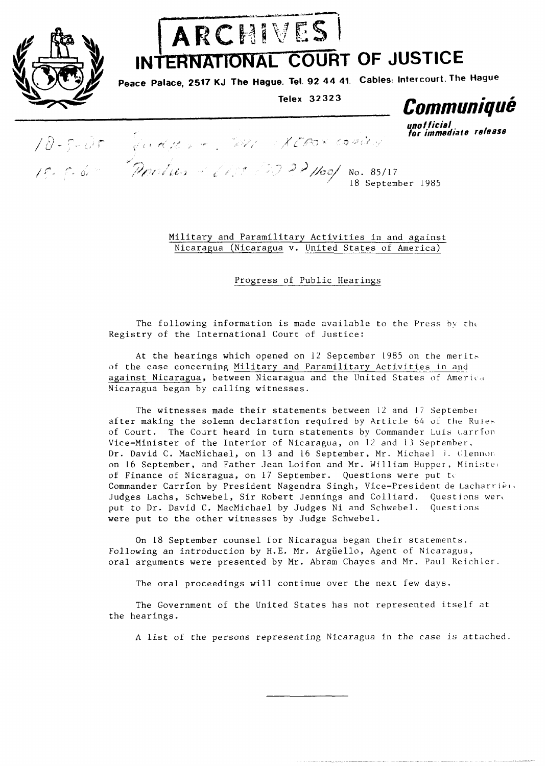

## ARCHIVES

INTERNATIONAL COURT OF JUSTICE

**Peace Palace, 2517 KJ The Hague. Tel. 92 44 41 Cables: Intercourt, The Hague** 

**Telex 32323** 

*uno* **f ficial** 

*rotation release <i>release for immediate release* .\* ." / P (- **d** *,* ;y/ II # '? *fL* 2 L No. 85/17

18 September 1985

Military and Paramilitary Activities in and against Nicaragua (Nicaragua v. United States of America)

Progress of Public Hearings

The following information is made available to the Press by the Registry of the International Court of Justice:

At the hearings which opened on  $12$  September 1985 on the merits of the case concerning Military and Paramilitary Activities in and against Nicaragua, between Nicaragua and the United States of America Nicaragua began by calling witnesses.

The witnesses made their statements between  $12$  and  $17$  September after making the solemn declaration required by Article 64 of the Kuieof Court. The Court heard in turn statements by Commander Luis Carrion Vice-Minister of the Interior of Nicaragua, on 12 and 13 September, Dr. David C. MacMichael, on 13 and 16 September, Mr. Michael J. Glennon on 16 September, and Father Jean Loifon and Mr. William Hupper, Ministed of Finance of Nicaragua, on 17 September. Questions were put to Commander Carrion by President Nagendra Singh, Vice-President de Lacharrière Judges Lachs, Schwebel, Sir Robert Jennings and Colliard. Questions were put to Dr. David C. MacMichael by Judges Ni and Schwebel. Questions were put to the other witnesses by Judge Schwebel.

On 18 September counsel for Nicaragua began their statements. Following an introduction by H.E. Mr. Argüello, Agent of Nicaragua, oral arguments were presented by Mr. Abram Chayes and Mr. Paul Keichler.

The oral proceedings will continue over the next few days.

The Government of the United States has not represented itself at the hearings.

A list of the perçons representing Nicaragua in the case is attached.